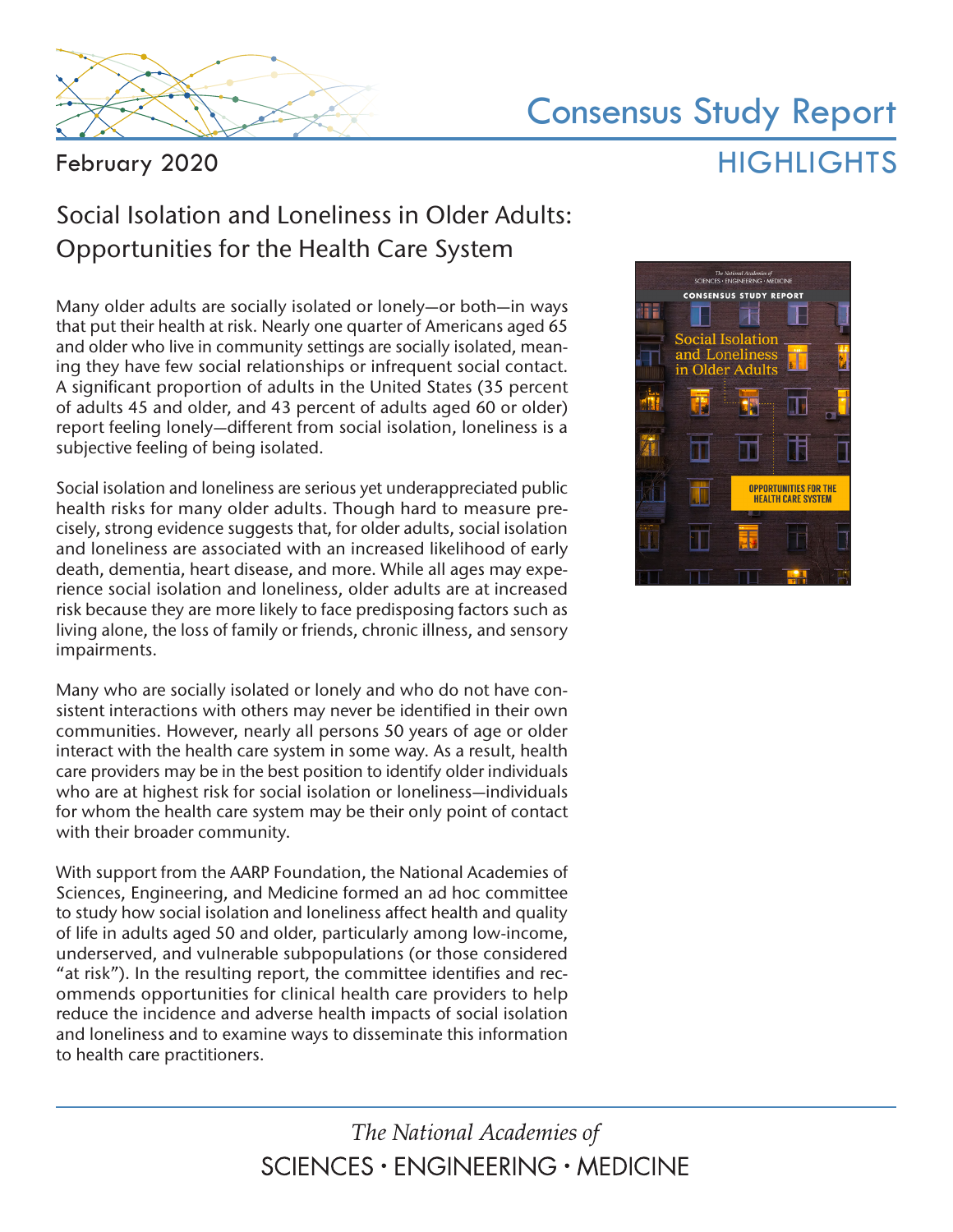

# Consensus Study Report HIGHLIGHTS

February 2020

## Social Isolation and Loneliness in Older Adults: Opportunities for the Health Care System

Many older adults are socially isolated or lonely—or both—in ways that put their health at risk. Nearly one quarter of Americans aged 65 and older who live in community settings are socially isolated, meaning they have few social relationships or infrequent social contact. A significant proportion of adults in the United States (35 percent of adults 45 and older, and 43 percent of adults aged 60 or older) report feeling lonely—different from social isolation, loneliness is a subjective feeling of being isolated.

Social isolation and loneliness are serious yet underappreciated public health risks for many older adults. Though hard to measure precisely, strong evidence suggests that, for older adults, social isolation and loneliness are associated with an increased likelihood of early death, dementia, heart disease, and more. While all ages may experience social isolation and loneliness, older adults are at increased risk because they are more likely to face predisposing factors such as living alone, the loss of family or friends, chronic illness, and sensory impairments.

Many who are socially isolated or lonely and who do not have consistent interactions with others may never be identified in their own communities. However, nearly all persons 50 years of age or older interact with the health care system in some way. As a result, health care providers may be in the best position to identify older individuals who are at highest risk for social isolation or loneliness—individuals for whom the health care system may be their only point of contact with their broader community.

With support from the AARP Foundation, the National Academies of Sciences, Engineering, and Medicine formed an ad hoc committee to study how social isolation and loneliness affect health and quality of life in adults aged 50 and older, particularly among low-income, underserved, and vulnerable subpopulations (or those considered "at risk"). In the resulting report, the committee identifies and recommends opportunities for clinical health care providers to help reduce the incidence and adverse health impacts of social isolation and loneliness and to examine ways to disseminate this information to health care practitioners.

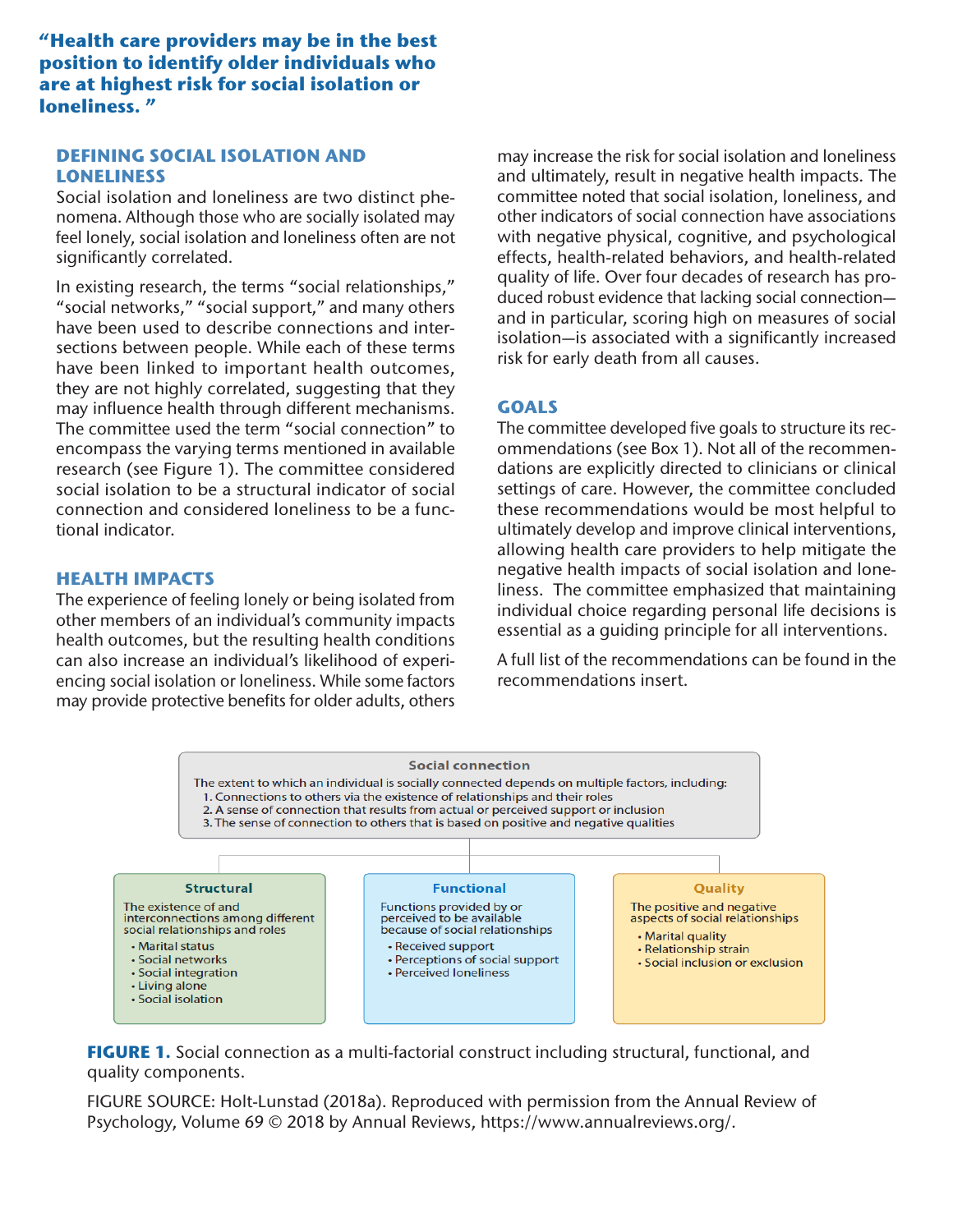**"Health care providers may be in the best position to identify older individuals who are at highest risk for social isolation or loneliness. "**

## **DEFINING SOCIAL ISOLATION AND LONELINESS**

Social isolation and loneliness are two distinct phenomena. Although those who are socially isolated may feel lonely, social isolation and loneliness often are not significantly correlated.

In existing research, the terms "social relationships," "social networks," "social support," and many others have been used to describe connections and intersections between people. While each of these terms have been linked to important health outcomes, they are not highly correlated, suggesting that they may influence health through different mechanisms. The committee used the term "social connection" to encompass the varying terms mentioned in available research (see Figure 1). The committee considered social isolation to be a structural indicator of social connection and considered loneliness to be a functional indicator.

### **HEALTH IMPACTS**

The experience of feeling lonely or being isolated from other members of an individual's community impacts health outcomes, but the resulting health conditions can also increase an individual's likelihood of experiencing social isolation or loneliness. While some factors may provide protective benefits for older adults, others may increase the risk for social isolation and loneliness and ultimately, result in negative health impacts. The committee noted that social isolation, loneliness, and other indicators of social connection have associations with negative physical, cognitive, and psychological effects, health-related behaviors, and health-related quality of life. Over four decades of research has produced robust evidence that lacking social connection and in particular, scoring high on measures of social isolation—is associated with a significantly increased risk for early death from all causes.

## **GOALS**

The committee developed five goals to structure its recommendations (see Box 1). Not all of the recommendations are explicitly directed to clinicians or clinical settings of care. However, the committee concluded these recommendations would be most helpful to ultimately develop and improve clinical interventions, allowing health care providers to help mitigate the negative health impacts of social isolation and loneliness. The committee emphasized that maintaining individual choice regarding personal life decisions is essential as a guiding principle for all interventions.

A full list of the recommendations can be found in the recommendations insert.



**FIGURE 1.** Social connection as a multi-factorial construct including structural, functional, and quality components.

FIGURE SOURCE: Holt-Lunstad (2018a). Reproduced with permission from the Annual Review of Psychology, Volume 69 © 2018 by Annual Reviews, https://www.annualreviews.org/.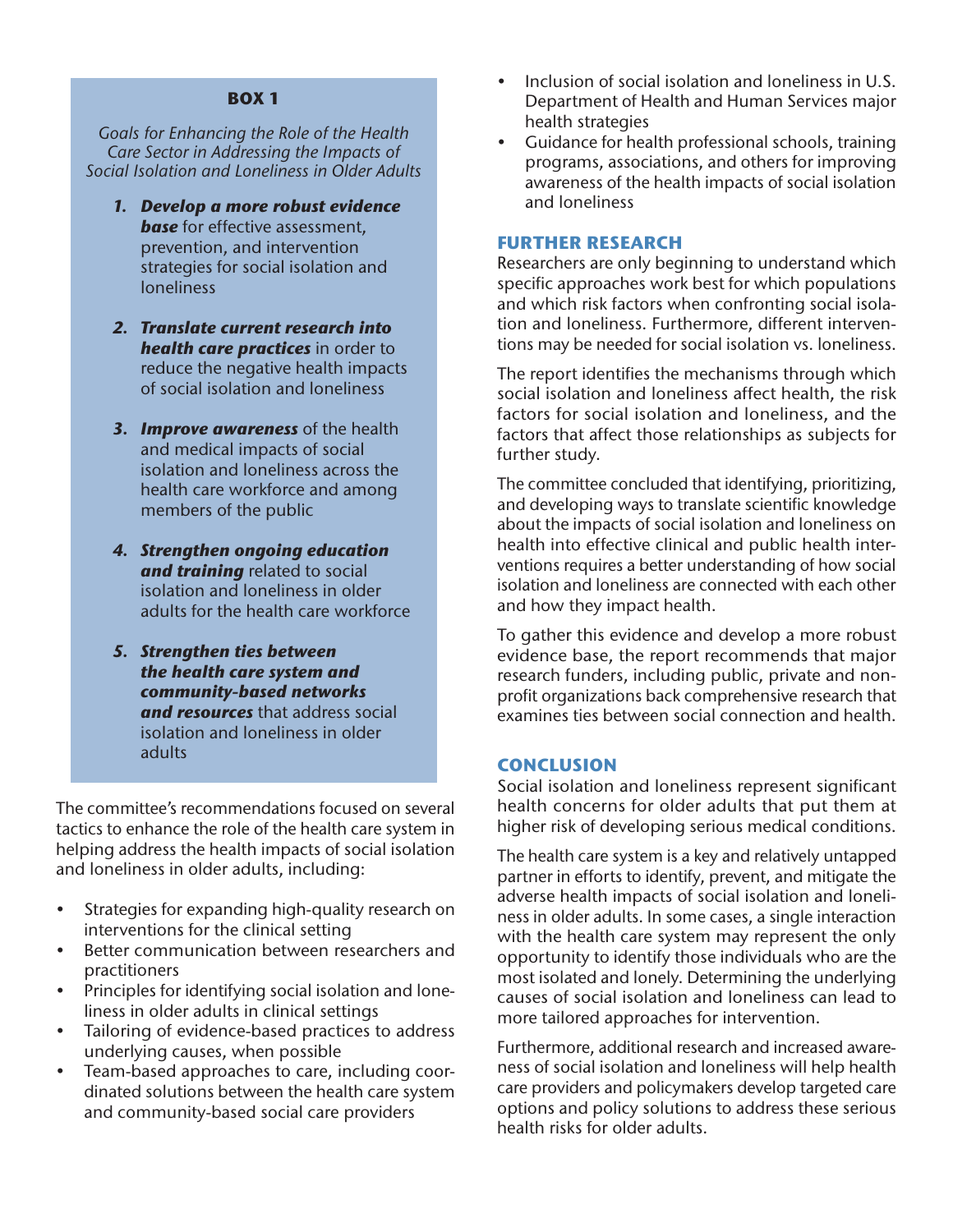#### **BOX 1**

*Goals for Enhancing the Role of the Health Care Sector in Addressing the Impacts of Social Isolation and Loneliness in Older Adults*

- *1. Develop a more robust evidence*  **base** for effective assessment, prevention, and intervention strategies for social isolation and loneliness
- *2. Translate current research into health care practices* in order to reduce the negative health impacts of social isolation and loneliness
- *3. Improve awareness* of the health and medical impacts of social isolation and loneliness across the health care workforce and among members of the public
- *4. Strengthen ongoing education and training* related to social isolation and loneliness in older adults for the health care workforce
- *5. Strengthen ties between the health care system and community-based networks and resources* that address social isolation and loneliness in older adults

The committee's recommendations focused on several tactics to enhance the role of the health care system in helping address the health impacts of social isolation and loneliness in older adults, including:

- Strategies for expanding high-quality research on interventions for the clinical setting
- Better communication between researchers and practitioners
- Principles for identifying social isolation and loneliness in older adults in clinical settings
- Tailoring of evidence-based practices to address underlying causes, when possible
- Team-based approaches to care, including coordinated solutions between the health care system and community-based social care providers
- Inclusion of social isolation and loneliness in U.S. Department of Health and Human Services major health strategies
- Guidance for health professional schools, training programs, associations, and others for improving awareness of the health impacts of social isolation and loneliness

#### **FURTHER RESEARCH**

Researchers are only beginning to understand which specific approaches work best for which populations and which risk factors when confronting social isolation and loneliness. Furthermore, different interventions may be needed for social isolation vs. loneliness.

The report identifies the mechanisms through which social isolation and loneliness affect health, the risk factors for social isolation and loneliness, and the factors that affect those relationships as subjects for further study.

The committee concluded that identifying, prioritizing, and developing ways to translate scientific knowledge about the impacts of social isolation and loneliness on health into effective clinical and public health interventions requires a better understanding of how social isolation and loneliness are connected with each other and how they impact health.

To gather this evidence and develop a more robust evidence base, the report recommends that major research funders, including public, private and nonprofit organizations back comprehensive research that examines ties between social connection and health.

#### **CONCLUSION**

Social isolation and loneliness represent significant health concerns for older adults that put them at higher risk of developing serious medical conditions.

The health care system is a key and relatively untapped partner in efforts to identify, prevent, and mitigate the adverse health impacts of social isolation and loneliness in older adults. In some cases, a single interaction with the health care system may represent the only opportunity to identify those individuals who are the most isolated and lonely. Determining the underlying causes of social isolation and loneliness can lead to more tailored approaches for intervention.

Furthermore, additional research and increased awareness of social isolation and loneliness will help health care providers and policymakers develop targeted care options and policy solutions to address these serious health risks for older adults.